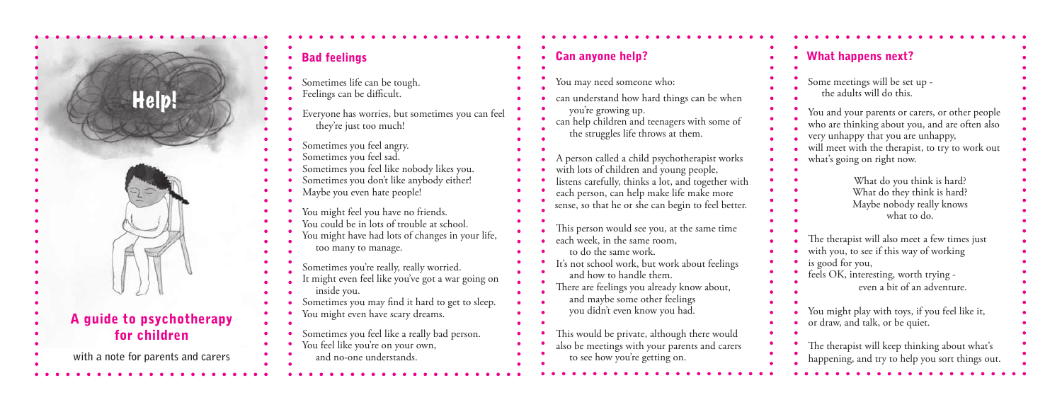

| <b>Can anyone help?</b>                                                                                                                                                                                                                           |
|---------------------------------------------------------------------------------------------------------------------------------------------------------------------------------------------------------------------------------------------------|
| You may need someone who:                                                                                                                                                                                                                         |
| can understand how hard things can be when<br>you're growing up.<br>can help children and teenagers with some of<br>the struggles life throws at them.                                                                                            |
| A person called a child psychotherapist works<br>with lots of children and young people,<br>listens carefully, thinks a lot, and together with<br>each person, can help make life make more<br>sense, so that he or she can begin to feel better. |
| This person would see you, at the same time<br>each week, in the same room,<br>to do the same work.                                                                                                                                               |
| It's not school work, but work about feelings<br>and how to handle them.<br>There are feelings you already know about,<br>and maybe some other feelings                                                                                           |
| you didn't even know you had.                                                                                                                                                                                                                     |
| This would be private, although there would<br>also be meetings with your parents and carers<br>to see how you're getting on.                                                                                                                     |

| <b>What happens next?</b>                                                                                                                                                                                                 |
|---------------------------------------------------------------------------------------------------------------------------------------------------------------------------------------------------------------------------|
| Some meetings will be set up -<br>the adults will do this.                                                                                                                                                                |
| You and your parents or carers, or other people<br>who are thinking about you, and are often also<br>very unhappy that you are unhappy,<br>will meet with the therapist, to try to work out<br>what's going on right now. |
| What do you think is hard?<br>What do they think is hard?<br>Maybe nobody really knows<br>what to do.                                                                                                                     |
| The therapist will also meet a few times just<br>with you, to see if this way of working<br>is good for you,<br>feels OK, interesting, worth trying -<br>even a bit of an adventure.                                      |
| You might play with toys, if you feel like it,<br>or draw, and talk, or be quiet.                                                                                                                                         |
| The therapist will keep thinking about what's<br>happening, and try to help you sort things out.                                                                                                                          |

| <b>Bad feelings</b>                                                                                                                                                                                  |  |
|------------------------------------------------------------------------------------------------------------------------------------------------------------------------------------------------------|--|
| Sometimes life can be tough.<br>Feelings can be difficult.                                                                                                                                           |  |
| Everyone has worries, but sometimes you can feel<br>they're just too much!                                                                                                                           |  |
| Sometimes you feel angry.<br>Sometimes you feel sad.<br>Sometimes you feel like nobody likes you.<br>Sometimes you don't like anybody either!<br>Maybe you even hate people!                         |  |
| You might feel you have no friends.<br>You could be in lots of trouble at school.<br>You might have had lots of changes in your life,<br>too many to manage.                                         |  |
| Sometimes you're really, really worried.<br>It might even feel like you've got a war going on<br>inside you.<br>Sometimes you may find it hard to get to sleep.<br>You might even have scary dreams. |  |
| Sometimes you feel like a really bad person.<br>You feel like you're on your own,<br>and no-one understands.                                                                                         |  |